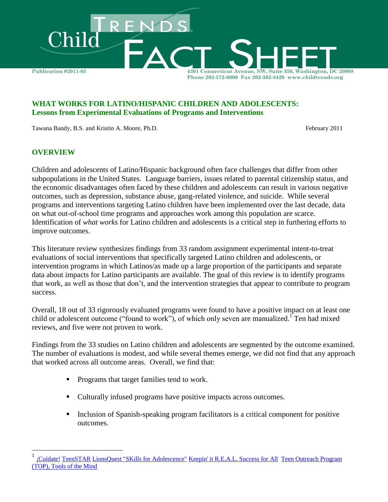

### **WHAT WORKS FOR LATINO/HISPANIC CHILDREN AND ADOLESCENTS: Lessons from Experimental Evaluations of Programs and Interventions**

Tawana Bandy, B.S. and Kristin A. Moore, Ph.D. February 2011

### **OVERVIEW**

 $\overline{a}$ 

Children and adolescents of Latino/Hispanic background often face challenges that differ from other subpopulations in the United States. Language barriers, issues related to parental citizenship status, and the economic disadvantages often faced by these children and adolescents can result in various negative outcomes, such as depression, substance abuse, gang-related violence, and suicide. While several programs and interventions targeting Latino children have been implemented over the last decade, data on what out-of-school time programs and approaches work among this population are scarce. Identification of *what works* for Latino children and adolescents is a critical step in furthering efforts to improve outcomes.

This literature review synthesizes findings from 33 random assignment experimental intent-to-treat evaluations of social interventions that specifically targeted Latino children and adolescents, or intervention programs in which Latinos/as made up a large proportion of the participants and separate data about impacts for Latino participants are available. The goal of this review is to identify programs that work, as well as those that don't, and the intervention strategies that appear to contribute to program success.

Overall, 18 out of 33 rigorously evaluated programs were found to have a positive impact on at least one child or adolescent outcome ("found to work"), of which only seven are manualized.<sup>1</sup> Ten had mixed reviews, and five were not proven to work.

Findings from the 33 studies on Latino children and adolescents are segmented by the outcome examined. The number of evaluations is modest, and while several themes emerge, we did not find that any approach that worked across all outcome areas. Overall, we find that:

- **Programs that target families tend to work.**
- Culturally infused programs have positive impacts across outcomes.
- Inclusion of Spanish-speaking program facilitators is a critical component for positive outcomes.

<sup>1</sup> [¡Cuídate!](http://www.childtrends.org/Lifecourse/programs/cuidate.htm) [TeenSTAR](http://www.childtrends.org/Lifecourse/programs/teenstar.htm) [LionsQuest "SKills for Adolescence"](http://www.childtrends.org/Lifecourse/programs/lionsquest.htm) [Keepin' it R.E.A.L.](http://www.childtrends.org/Lifecourse/programs/KeepinItREAL.htm) [Success for All](http://www.childtrends.org/Lifecourse/programs/success.htm) [Teen Outreach Program](http://www.childtrends.org/Lifecourse/programs/TeenOutreachProgram.htm)  [\(TOP\),](http://www.childtrends.org/Lifecourse/programs/TeenOutreachProgram.htm) [Tools of the Mind](http://www.childtrends.org/Lifecourse/programs/ToolsMind.htm)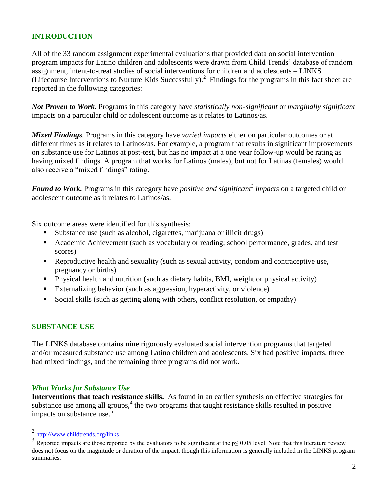## **INTRODUCTION**

All of the 33 random assignment experimental evaluations that provided data on social intervention program impacts for Latino children and adolescents were drawn from Child Trends' database of random assignment, intent-to-treat studies of social interventions for children and adolescents – LINKS (Lifecourse Interventions to Nurture Kids Successfully).<sup>2</sup> Findings for the programs in this fact sheet are reported in the following categories:

*Not Proven to Work.* Programs in this category have *statistically non-significant* or *marginally significant*  impacts on a particular child or adolescent outcome as it relates to Latinos/as.

*Mixed Findings.* Programs in this category have *varied impacts* either on particular outcomes or at different times as it relates to Latinos/as. For example, a program that results in significant improvements on substance use for Latinos at post-test, but has no impact at a one year follow-up would be rating as having mixed findings. A program that works for Latinos (males), but not for Latinas (females) would also receive a "mixed findings" rating.

*Found to Work.* Programs in this category have *positive and significant<sup>3</sup> impacts* on a targeted child or adolescent outcome as it relates to Latinos/as.

Six outcome areas were identified for this synthesis:

- Substance use (such as alcohol, cigarettes, marijuana or illicit drugs)
- Academic Achievement (such as vocabulary or reading; school performance, grades, and test scores)
- Reproductive health and sexuality (such as sexual activity, condom and contraceptive use, pregnancy or births)
- Physical health and nutrition (such as dietary habits, BMI, weight or physical activity)
- Externalizing behavior (such as aggression, hyperactivity, or violence)
- Social skills (such as getting along with others, conflict resolution, or empathy)

#### **SUBSTANCE USE**

The LINKS database contains **nine** rigorously evaluated social intervention programs that targeted and/or measured substance use among Latino children and adolescents. Six had positive impacts, three had mixed findings, and the remaining three programs did not work.

#### *What Works for Substance Use*

**Interventions that teach resistance skills.** As found in an earlier synthesis on effective strategies for substance use among all groups, $<sup>4</sup>$  the two programs that taught resistance skills resulted in positive</sup> impacts on substance use.<sup>5</sup>

 $\frac{1}{2}$ <http://www.childtrends.org/links>

<sup>3</sup> Reported impacts are those reported by the evaluators to be significant at the  $p \le 0.05$  level. Note that this literature review does not focus on the magnitude or duration of the impact, though this information is generally included in the LINKS program summaries.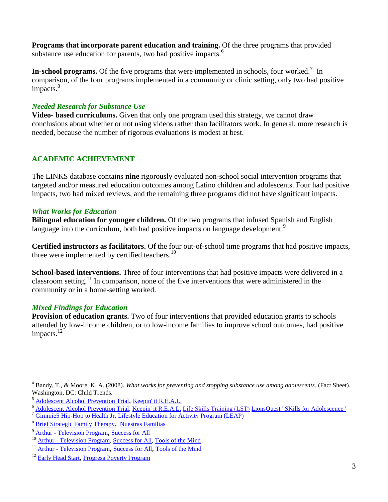**Programs that incorporate parent education and training.** Of the three programs that provided substance use education for parents, two had positive impacts.<sup>6</sup>

**In-school programs.** Of the five programs that were implemented in schools, four worked.<sup>7</sup> In comparison, of the four programs implemented in a community or clinic setting, only two had positive impacts.<sup>8</sup>

## *Needed Research for Substance Use*

**Video- based curriculums.** Given that only one program used this strategy, we cannot draw conclusions about whether or not using videos rather than facilitators work. In general, more research is needed, because the number of rigorous evaluations is modest at best.

# **ACADEMIC ACHIEVEMENT**

The LINKS database contains **nine** rigorously evaluated non-school social intervention programs that targeted and/or measured education outcomes among Latino children and adolescents. Four had positive impacts, two had mixed reviews, and the remaining three programs did not have significant impacts.

## *What Works for Education*

**Bilingual education for younger children.** Of the two programs that infused Spanish and English language into the curriculum, both had positive impacts on language development.<sup>9</sup>

**Certified instructors as facilitators.** Of the four out-of-school time programs that had positive impacts, three were implemented by certified teachers.<sup>10</sup>

**School-based interventions.** Three of four interventions that had positive impacts were delivered in a classroom setting.<sup>11</sup> In comparison, none of the five interventions that were administered in the community or in a home-setting worked.

# *Mixed Findings for Education*

 $\overline{a}$ 

**Provision of education grants.** Two of four interventions that provided education grants to schools attended by low-income children, or to low-income families to improve school outcomes, had positive impacts.<sup>12</sup>

<sup>4</sup> Bandy, T., & Moore, K. A. (2008). *What works for preventing and stopping substance use among adolescents.* (Fact Sheet). Washington, DC: Child Trends.

<sup>5</sup> Adolescent Alcohol Prevention Trial, [Keepin' it R.E.A.L.](http://www.childtrends.org/Lifecourse/programs/KeepinItREAL.htm)

<sup>6</sup> Adolescent Alcohol Prevention Trial[, Keepin' it R.E.A.L.](http://www.childtrends.org/Lifecourse/programs/KeepinItREAL.htm) [Life Skills Training \(LST\)](http://www.childtrends.org/Lifecourse/programs/LifeSkillsTraining.htm) [LionsQuest "SKills for Adolescence"](http://www.childtrends.org/Lifecourse/programs/lionsquest.htm) 

[Gimmie5](http://www.childtrends.org/Lifecourse/programs/Gimmie5-HS.htm) [Hip-Hop to Health Jr.](http://www.childtrends.org/Lifecourse/programs/hiphop.htm) [Lifestyle Education for Activity Program \(LEAP\)](http://www.childtrends.org/Lifecourse/programs/leap.htm)

<sup>8</sup> [Brief Strategic Family Therapy](http://www.childtrends.org/Lifecourse/programs/bsft.htm), [Nuestras Familias](http://www.childtrends.org/Lifecourse/programs/nuestras.htm)

 $\frac{9 \text{Arthur}}{10 \text{ Arthur}}$  - [Television Program](http://www.childtrends.org/Lifecourse/programs/Arthur.htm), [Success for All](http://www.childtrends.org/Lifecourse/programs/success.htm)

Arthur - [Television Program,](http://www.childtrends.org/Lifecourse/programs/Arthur.htm) [Success for All,](http://www.childtrends.org/Lifecourse/programs/success.htm) [Tools of the Mind](http://www.childtrends.org/Lifecourse/programs/ToolsMind.htm)

<sup>&</sup>lt;sup>11</sup> Arthur - [Television Program](http://www.childtrends.org/Lifecourse/programs/Arthur.htm), [Success for All](http://www.childtrends.org/Lifecourse/programs/success.htm), [Tools of the Mind](http://www.childtrends.org/Lifecourse/programs/ToolsMind.htm)

<sup>&</sup>lt;sup>12</sup> [Early Head Start](http://www.childtrends.org/Lifecourse/programs/EarlyHeadStart.htm), [Progresa Poverty Program](http://www.childtrends.org/Lifecourse/programs/progresa.htm)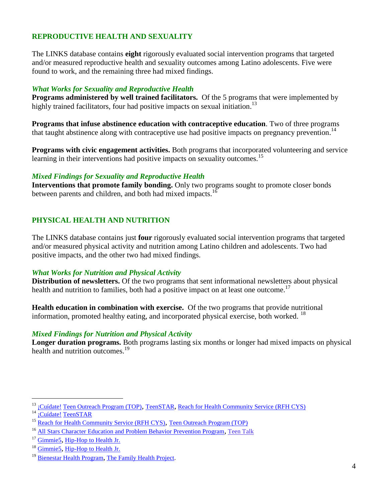# **REPRODUCTIVE HEALTH AND SEXUALITY**

The LINKS database contains **eight** rigorously evaluated social intervention programs that targeted and/or measured reproductive health and sexuality outcomes among Latino adolescents. Five were found to work, and the remaining three had mixed findings.

### *What Works for Sexuality and Reproductive Health*

**Programs administered by well trained facilitators.** Of the 5 programs that were implemented by highly trained facilitators, four had positive impacts on sexual initiation.<sup>13</sup>

**Programs that infuse abstinence education with contraceptive education**. Two of three programs that taught abstinence along with contraceptive use had positive impacts on pregnancy prevention.<sup>14</sup>

**Programs with civic engagement activities.** Both programs that incorporated volunteering and service learning in their interventions had positive impacts on sexuality outcomes.<sup>15</sup>

### *Mixed Findings for Sexuality and Reproductive Health*

Interventions that promote family bonding. Only two programs sought to promote closer bonds between parents and children, and both had mixed impacts.<sup>16</sup>

# **PHYSICAL HEALTH AND NUTRITION**

The LINKS database contains just **four** rigorously evaluated social intervention programs that targeted and/or measured physical activity and nutrition among Latino children and adolescents. Two had positive impacts, and the other two had mixed findings.

#### *What Works for Nutrition and Physical Activity*

**Distribution of newsletters.** Of the two programs that sent informational newsletters about physical health and nutrition to families, both had a positive impact on at least one outcome.<sup>17</sup>

**Health education in combination with exercise.** Of the two programs that provide nutritional information, promoted healthy eating, and incorporated physical exercise, both worked.  $^{18}$ 

### *Mixed Findings for Nutrition and Physical Activity*

**Longer duration programs.** Both programs lasting six months or longer had mixed impacts on physical health and nutrition outcomes. 19

 $\overline{a}$ 

<sup>&</sup>lt;sup>13</sup> [¡Cuídate!](http://www.childtrends.org/Lifecourse/programs/cuidate.htm) [Teen Outreach Program \(TOP\)](http://www.childtrends.org/Lifecourse/programs/TeenOutreachProgram.htm), [TeenSTAR](http://www.childtrends.org/Lifecourse/programs/teenstar.htm), [Reach for Health Community Service \(RFH CYS\)](http://www.childtrends.org/Lifecourse/programs/ReachforHealth.htm)

<sup>&</sup>lt;sup>14</sup> [¡Cuídate!](http://www.childtrends.org/Lifecourse/programs/cuidate.htm) [TeenSTAR](http://www.childtrends.org/Lifecourse/programs/teenstar.htm)

<sup>&</sup>lt;sup>15</sup> [Reach for Health Community Service \(RFH CYS\)](http://www.childtrends.org/Lifecourse/programs/ReachforHealth.htm), [Teen Outreach Program \(TOP\)](http://www.childtrends.org/Lifecourse/programs/TeenOutreachProgram.htm)

<sup>&</sup>lt;sup>16</sup> [All Stars Character Education and Problem Behavior Prevention Program](http://www.childtrends.org/Lifecourse/programs/AllStars.htm), [Teen Talk](http://www.childtrends.org/Lifecourse/programs/TeenTalk.htm)

<sup>&</sup>lt;sup>17</sup> Gimmie<sub>5</sub>, [Hip-Hop to Health Jr.](http://www.childtrends.org/Lifecourse/programs/hiphop.htm)

<sup>18</sup> [Gimmie5](http://www.childtrends.org/Lifecourse/programs/Gimmie5-HS.htm), [Hip-Hop to Health Jr.](http://www.childtrends.org/Lifecourse/programs/hiphop.htm)

<sup>&</sup>lt;sup>19</sup> [Bienestar Health Program](http://www.childtrends.org/Lifecourse/programs/bien.htm), [The Family Health Project.](http://www.childtrends.org/Lifecourse/programs/famhealth.htm)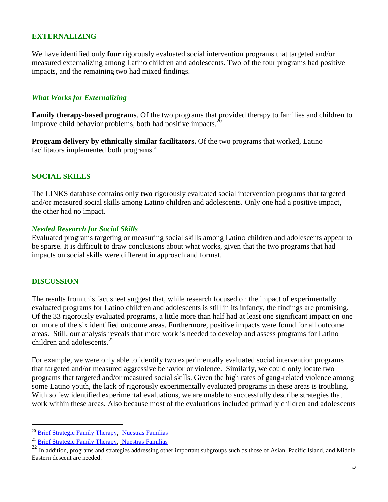### **EXTERNALIZING**

We have identified only **four** rigorously evaluated social intervention programs that targeted and/or measured externalizing among Latino children and adolescents. Two of the four programs had positive impacts, and the remaining two had mixed findings.

### *What Works for Externalizing*

**Family therapy-based programs**. Of the two programs that provided therapy to families and children to improve child behavior problems, both had positive impacts.<sup>20</sup>

**Program delivery by ethnically similar facilitators.** Of the two programs that worked, Latino facilitators implemented both programs. 21

#### **SOCIAL SKILLS**

The LINKS database contains only **two** rigorously evaluated social intervention programs that targeted and/or measured social skills among Latino children and adolescents. Only one had a positive impact, the other had no impact.

#### *Needed Research for Social Skills*

Evaluated programs targeting or measuring social skills among Latino children and adolescents appear to be sparse. It is difficult to draw conclusions about what works, given that the two programs that had impacts on social skills were different in approach and format.

#### **DISCUSSION**

 $\overline{a}$ 

The results from this fact sheet suggest that, while research focused on the impact of experimentally evaluated programs for Latino children and adolescents is still in its infancy, the findings are promising. Of the 33 rigorously evaluated programs, a little more than half had at least one significant impact on one or more of the six identified outcome areas. Furthermore, positive impacts were found for all outcome areas. Still, our analysis reveals that more work is needed to develop and assess programs for Latino children and adolescents. 22

For example, we were only able to identify two experimentally evaluated social intervention programs that targeted and/or measured aggressive behavior or violence. Similarly, we could only locate two programs that targeted and/or measured social skills. Given the high rates of gang-related violence among some Latino youth, the lack of rigorously experimentally evaluated programs in these areas is troubling. With so few identified experimental evaluations, we are unable to successfully describe strategies that work within these areas. Also because most of the evaluations included primarily children and adolescents

<sup>20</sup> [Brief Strategic Family Therapy](http://www.childtrends.org/Lifecourse/programs/bsft.htm), [Nuestras Familias](http://www.childtrends.org/Lifecourse/programs/nuestras.htm)

<sup>&</sup>lt;sup>21</sup> [Brief Strategic Family Therapy](http://www.childtrends.org/Lifecourse/programs/bsft.htm), [Nuestras Familias](http://www.childtrends.org/Lifecourse/programs/nuestras.htm)

 $^{22}$  In addition, programs and strategies addressing other important subgroups such as those of Asian, Pacific Island, and Middle Eastern descent are needed.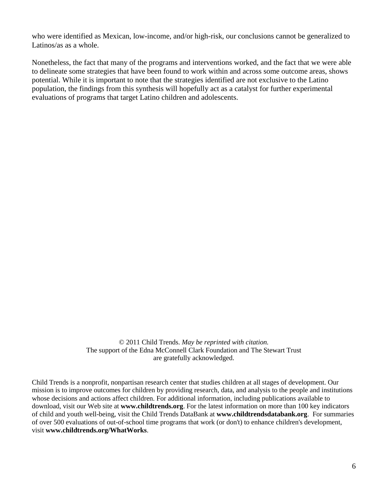who were identified as Mexican, low-income, and/or high-risk, our conclusions cannot be generalized to Latinos/as as a whole.

Nonetheless, the fact that many of the programs and interventions worked, and the fact that we were able to delineate some strategies that have been found to work within and across some outcome areas, shows potential. While it is important to note that the strategies identified are not exclusive to the Latino population, the findings from this synthesis will hopefully act as a catalyst for further experimental evaluations of programs that target Latino children and adolescents.

> © 2011 Child Trends. *May be reprinted with citation.* The support of the Edna McConnell Clark Foundation and The Stewart Trust are gratefully acknowledged.

Child Trends is a nonprofit, nonpartisan research center that studies children at all stages of development. Our mission is to improve outcomes for children by providing research, data, and analysis to the people and institutions whose decisions and actions affect children. For additional information, including publications available to download, visit our Web site at **www.childtrends.org**. For the latest information on more than 100 key indicators of child and youth well-being, visit the Child Trends DataBank at **www.childtrendsdatabank.org**. For summaries of over 500 evaluations of out-of-school time programs that work (or don't) to enhance children's development, visit **www.childtrends.org/WhatWorks**.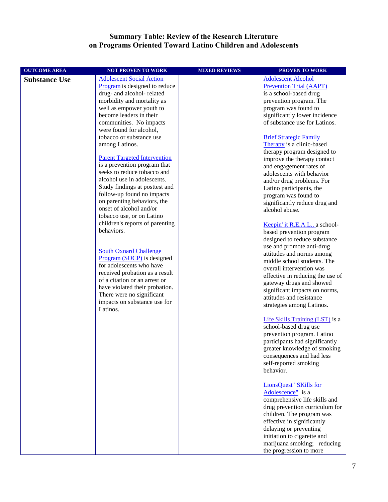#### **Summary Table: Review of the Research Literature on Programs Oriented Toward Latino Children and Adolescents**

| <b>OUTCOME AREA</b>  | <b>NOT PROVEN TO WORK</b>                                    | <b>MIXED REVIEWS</b> | <b>PROVEN TO WORK</b>                                    |
|----------------------|--------------------------------------------------------------|----------------------|----------------------------------------------------------|
| <b>Substance Use</b> | <b>Adolescent Social Action</b>                              |                      | <b>Adolescent Alcohol</b>                                |
|                      | Program is designed to reduce                                |                      | <b>Prevention Trial (AAPT)</b>                           |
|                      | drug- and alcohol- related                                   |                      | is a school-based drug                                   |
|                      | morbidity and mortality as                                   |                      | prevention program. The                                  |
|                      | well as empower youth to                                     |                      | program was found to                                     |
|                      | become leaders in their                                      |                      | significantly lower incidence                            |
|                      | communities. No impacts                                      |                      | of substance use for Latinos.                            |
|                      | were found for alcohol,                                      |                      |                                                          |
|                      | tobacco or substance use                                     |                      | <b>Brief Strategic Family</b>                            |
|                      | among Latinos.                                               |                      | Therapy is a clinic-based                                |
|                      |                                                              |                      | therapy program designed to                              |
|                      | <b>Parent Targeted Intervention</b>                          |                      | improve the therapy contact                              |
|                      | is a prevention program that                                 |                      | and engagement rates of                                  |
|                      | seeks to reduce tobacco and                                  |                      | adolescents with behavior                                |
|                      | alcohol use in adolescents.                                  |                      | and/or drug problems. For                                |
|                      | Study findings at posttest and                               |                      | Latino participants, the                                 |
|                      | follow-up found no impacts                                   |                      | program was found to                                     |
|                      | on parenting behaviors, the<br>onset of alcohol and/or       |                      | significantly reduce drug and                            |
|                      |                                                              |                      | alcohol abuse.                                           |
|                      | tobacco use, or on Latino<br>children's reports of parenting |                      |                                                          |
|                      | behaviors.                                                   |                      | Keepin' it R.E.A.L., a school-                           |
|                      |                                                              |                      | based prevention program                                 |
|                      |                                                              |                      | designed to reduce substance                             |
|                      | <b>South Oxnard Challenge</b>                                |                      | use and promote anti-drug                                |
|                      | Program (SOCP) is designed                                   |                      | attitudes and norms among<br>middle school students. The |
|                      | for adolescents who have                                     |                      | overall intervention was                                 |
|                      | received probation as a result                               |                      | effective in reducing the use of                         |
|                      | of a citation or an arrest or                                |                      | gateway drugs and showed                                 |
|                      | have violated their probation.                               |                      | significant impacts on norms,                            |
|                      | There were no significant                                    |                      | attitudes and resistance                                 |
|                      | impacts on substance use for                                 |                      | strategies among Latinos.                                |
|                      | Latinos.                                                     |                      |                                                          |
|                      |                                                              |                      | Life Skills Training (LST) is a                          |
|                      |                                                              |                      | school-based drug use                                    |
|                      |                                                              |                      | prevention program. Latino                               |
|                      |                                                              |                      | participants had significantly                           |
|                      |                                                              |                      | greater knowledge of smoking                             |
|                      |                                                              |                      | consequences and had less                                |
|                      |                                                              |                      | self-reported smoking                                    |
|                      |                                                              |                      | behavior.                                                |
|                      |                                                              |                      |                                                          |
|                      |                                                              |                      | <b>LionsQuest "SKills for</b>                            |
|                      |                                                              |                      | Adolescence" is a                                        |
|                      |                                                              |                      | comprehensive life skills and                            |
|                      |                                                              |                      | drug prevention curriculum for                           |
|                      |                                                              |                      | children. The program was                                |
|                      |                                                              |                      | effective in significantly                               |
|                      |                                                              |                      | delaying or preventing                                   |
|                      |                                                              |                      | initiation to cigarette and                              |
|                      |                                                              |                      | marijuana smoking; reducing                              |
|                      |                                                              |                      | the progression to more                                  |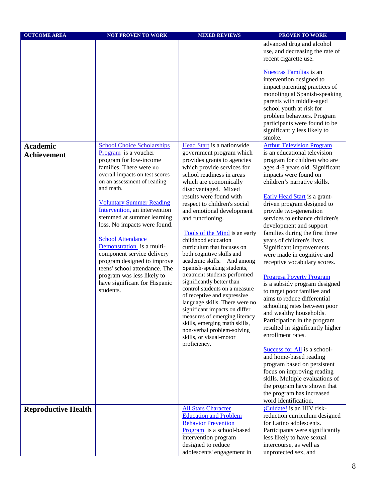| advanced drug and alcohol<br>use, and decreasing the rate of<br>recent cigarette use.<br><b>Nuestras Familias</b> is an<br>intervention designed to<br>impact parenting practices of<br>monolingual Spanish-speaking<br>parents with middle-aged<br>school youth at risk for<br>problem behaviors. Program<br>participants were found to be<br>significantly less likely to<br>smoke.<br>Head Start is a nationwide<br><b>Arthur Television Program</b><br><b>Academic</b><br><b>School Choice Scholarships</b><br>is an educational television<br>Program is a voucher<br>government program which<br><b>Achievement</b><br>program for low-income<br>provides grants to agencies<br>program for children who are<br>families. There were no<br>which provide services for<br>ages 4-8 years old. Significant<br>school readiness in areas<br>impacts were found on<br>overall impacts on test scores<br>children's narrative skills.<br>on an assessment of reading<br>which are economically<br>and math.<br>disadvantaged. Mixed<br>results were found with<br>Early Head Start is a grant-<br><b>Voluntary Summer Reading</b><br>respect to children's social<br>driven program designed to<br>Intervention, an intervention<br>and emotional development<br>provide two-generation<br>stemmed at summer learning<br>services to enhance children's<br>and functioning.<br>loss. No impacts were found.<br>development and support<br>families during the first three<br>Tools of the Mind is an early<br><b>School Attendance</b><br>childhood education<br>years of children's lives.<br>Demonstration is a multi-<br>curriculum that focuses on<br>Significant improvements<br>component service delivery<br>both cognitive skills and<br>were made in cognitive and<br>program designed to improve<br>academic skills. And among<br>receptive vocabulary scores.<br>Spanish-speaking students,<br>teens' school attendance. The<br>treatment students performed<br>program was less likely to<br><b>Progresa Poverty Program</b><br>significantly better than<br>have significant for Hispanic<br>is a subsidy program designed<br>control students on a measure<br>students.<br>to target poor families and<br>of receptive and expressive<br>aims to reduce differential<br>language skills. There were no<br>schooling rates between poor<br>significant impacts on differ<br>and wealthy households.<br>measures of emerging literacy<br>Participation in the program<br>skills, emerging math skills,<br>resulted in significantly higher<br>non-verbal problem-solving<br>enrollment rates.<br>skills, or visual-motor<br>proficiency. | <b>OUTCOME AREA</b> | <b>NOT PROVEN TO WORK</b> | <b>MIXED REVIEWS</b>                             | PROVEN TO WORK                  |
|-------------------------------------------------------------------------------------------------------------------------------------------------------------------------------------------------------------------------------------------------------------------------------------------------------------------------------------------------------------------------------------------------------------------------------------------------------------------------------------------------------------------------------------------------------------------------------------------------------------------------------------------------------------------------------------------------------------------------------------------------------------------------------------------------------------------------------------------------------------------------------------------------------------------------------------------------------------------------------------------------------------------------------------------------------------------------------------------------------------------------------------------------------------------------------------------------------------------------------------------------------------------------------------------------------------------------------------------------------------------------------------------------------------------------------------------------------------------------------------------------------------------------------------------------------------------------------------------------------------------------------------------------------------------------------------------------------------------------------------------------------------------------------------------------------------------------------------------------------------------------------------------------------------------------------------------------------------------------------------------------------------------------------------------------------------------------------------------------------------------------------------------------------------------------------------------------------------------------------------------------------------------------------------------------------------------------------------------------------------------------------------------------------------------------------------------------------------------------------------------------------------------------------------------------------------------------------------------------------------------------------------------------------|---------------------|---------------------------|--------------------------------------------------|---------------------------------|
|                                                                                                                                                                                                                                                                                                                                                                                                                                                                                                                                                                                                                                                                                                                                                                                                                                                                                                                                                                                                                                                                                                                                                                                                                                                                                                                                                                                                                                                                                                                                                                                                                                                                                                                                                                                                                                                                                                                                                                                                                                                                                                                                                                                                                                                                                                                                                                                                                                                                                                                                                                                                                                                       |                     |                           |                                                  |                                 |
|                                                                                                                                                                                                                                                                                                                                                                                                                                                                                                                                                                                                                                                                                                                                                                                                                                                                                                                                                                                                                                                                                                                                                                                                                                                                                                                                                                                                                                                                                                                                                                                                                                                                                                                                                                                                                                                                                                                                                                                                                                                                                                                                                                                                                                                                                                                                                                                                                                                                                                                                                                                                                                                       |                     |                           |                                                  |                                 |
|                                                                                                                                                                                                                                                                                                                                                                                                                                                                                                                                                                                                                                                                                                                                                                                                                                                                                                                                                                                                                                                                                                                                                                                                                                                                                                                                                                                                                                                                                                                                                                                                                                                                                                                                                                                                                                                                                                                                                                                                                                                                                                                                                                                                                                                                                                                                                                                                                                                                                                                                                                                                                                                       |                     |                           |                                                  |                                 |
|                                                                                                                                                                                                                                                                                                                                                                                                                                                                                                                                                                                                                                                                                                                                                                                                                                                                                                                                                                                                                                                                                                                                                                                                                                                                                                                                                                                                                                                                                                                                                                                                                                                                                                                                                                                                                                                                                                                                                                                                                                                                                                                                                                                                                                                                                                                                                                                                                                                                                                                                                                                                                                                       |                     |                           |                                                  |                                 |
|                                                                                                                                                                                                                                                                                                                                                                                                                                                                                                                                                                                                                                                                                                                                                                                                                                                                                                                                                                                                                                                                                                                                                                                                                                                                                                                                                                                                                                                                                                                                                                                                                                                                                                                                                                                                                                                                                                                                                                                                                                                                                                                                                                                                                                                                                                                                                                                                                                                                                                                                                                                                                                                       |                     |                           |                                                  |                                 |
|                                                                                                                                                                                                                                                                                                                                                                                                                                                                                                                                                                                                                                                                                                                                                                                                                                                                                                                                                                                                                                                                                                                                                                                                                                                                                                                                                                                                                                                                                                                                                                                                                                                                                                                                                                                                                                                                                                                                                                                                                                                                                                                                                                                                                                                                                                                                                                                                                                                                                                                                                                                                                                                       |                     |                           |                                                  |                                 |
|                                                                                                                                                                                                                                                                                                                                                                                                                                                                                                                                                                                                                                                                                                                                                                                                                                                                                                                                                                                                                                                                                                                                                                                                                                                                                                                                                                                                                                                                                                                                                                                                                                                                                                                                                                                                                                                                                                                                                                                                                                                                                                                                                                                                                                                                                                                                                                                                                                                                                                                                                                                                                                                       |                     |                           |                                                  |                                 |
|                                                                                                                                                                                                                                                                                                                                                                                                                                                                                                                                                                                                                                                                                                                                                                                                                                                                                                                                                                                                                                                                                                                                                                                                                                                                                                                                                                                                                                                                                                                                                                                                                                                                                                                                                                                                                                                                                                                                                                                                                                                                                                                                                                                                                                                                                                                                                                                                                                                                                                                                                                                                                                                       |                     |                           |                                                  |                                 |
| Success for All is a school-<br>and home-based reading<br>program based on persistent<br>focus on improving reading<br>skills. Multiple evaluations of<br>the program have shown that                                                                                                                                                                                                                                                                                                                                                                                                                                                                                                                                                                                                                                                                                                                                                                                                                                                                                                                                                                                                                                                                                                                                                                                                                                                                                                                                                                                                                                                                                                                                                                                                                                                                                                                                                                                                                                                                                                                                                                                                                                                                                                                                                                                                                                                                                                                                                                                                                                                                 |                     |                           |                                                  |                                 |
| the program has increased<br>word identification.                                                                                                                                                                                                                                                                                                                                                                                                                                                                                                                                                                                                                                                                                                                                                                                                                                                                                                                                                                                                                                                                                                                                                                                                                                                                                                                                                                                                                                                                                                                                                                                                                                                                                                                                                                                                                                                                                                                                                                                                                                                                                                                                                                                                                                                                                                                                                                                                                                                                                                                                                                                                     |                     |                           |                                                  |                                 |
| <b>All Stars Character</b><br>¡Cuídate! is an HIV risk-<br><b>Reproductive Health</b><br><b>Education and Problem</b><br>reduction curriculum designed                                                                                                                                                                                                                                                                                                                                                                                                                                                                                                                                                                                                                                                                                                                                                                                                                                                                                                                                                                                                                                                                                                                                                                                                                                                                                                                                                                                                                                                                                                                                                                                                                                                                                                                                                                                                                                                                                                                                                                                                                                                                                                                                                                                                                                                                                                                                                                                                                                                                                                |                     |                           |                                                  |                                 |
|                                                                                                                                                                                                                                                                                                                                                                                                                                                                                                                                                                                                                                                                                                                                                                                                                                                                                                                                                                                                                                                                                                                                                                                                                                                                                                                                                                                                                                                                                                                                                                                                                                                                                                                                                                                                                                                                                                                                                                                                                                                                                                                                                                                                                                                                                                                                                                                                                                                                                                                                                                                                                                                       |                     |                           | <b>Behavior Prevention</b>                       | for Latino adolescents.         |
|                                                                                                                                                                                                                                                                                                                                                                                                                                                                                                                                                                                                                                                                                                                                                                                                                                                                                                                                                                                                                                                                                                                                                                                                                                                                                                                                                                                                                                                                                                                                                                                                                                                                                                                                                                                                                                                                                                                                                                                                                                                                                                                                                                                                                                                                                                                                                                                                                                                                                                                                                                                                                                                       |                     |                           | Program is a school-based                        | Participants were significantly |
|                                                                                                                                                                                                                                                                                                                                                                                                                                                                                                                                                                                                                                                                                                                                                                                                                                                                                                                                                                                                                                                                                                                                                                                                                                                                                                                                                                                                                                                                                                                                                                                                                                                                                                                                                                                                                                                                                                                                                                                                                                                                                                                                                                                                                                                                                                                                                                                                                                                                                                                                                                                                                                                       |                     |                           |                                                  |                                 |
| intervention program<br>less likely to have sexual<br>intercourse, as well as                                                                                                                                                                                                                                                                                                                                                                                                                                                                                                                                                                                                                                                                                                                                                                                                                                                                                                                                                                                                                                                                                                                                                                                                                                                                                                                                                                                                                                                                                                                                                                                                                                                                                                                                                                                                                                                                                                                                                                                                                                                                                                                                                                                                                                                                                                                                                                                                                                                                                                                                                                         |                     |                           | designed to reduce<br>adolescents' engagement in | unprotected sex, and            |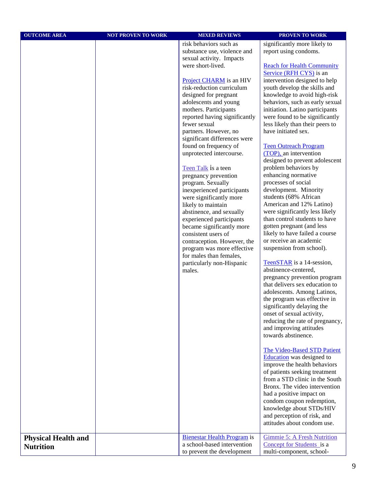| <b>OUTCOME AREA</b>        | <b>NOT PROVEN TO WORK</b> | <b>MIXED REVIEWS</b>                                                                                                                                                                                                                                                                                                                                                                                                                                                                                                                                                                                                                                                                                                                                                                                   | PROVEN TO WORK                                                                                                                                                                                                                                                                                                                                                                                                                                                                                                                                                                                                                                                                                                                                                                                                                                                                                                                                                                                                                                                                                                                                                                                                                                                                                                                                                                                                                                                                                                            |
|----------------------------|---------------------------|--------------------------------------------------------------------------------------------------------------------------------------------------------------------------------------------------------------------------------------------------------------------------------------------------------------------------------------------------------------------------------------------------------------------------------------------------------------------------------------------------------------------------------------------------------------------------------------------------------------------------------------------------------------------------------------------------------------------------------------------------------------------------------------------------------|---------------------------------------------------------------------------------------------------------------------------------------------------------------------------------------------------------------------------------------------------------------------------------------------------------------------------------------------------------------------------------------------------------------------------------------------------------------------------------------------------------------------------------------------------------------------------------------------------------------------------------------------------------------------------------------------------------------------------------------------------------------------------------------------------------------------------------------------------------------------------------------------------------------------------------------------------------------------------------------------------------------------------------------------------------------------------------------------------------------------------------------------------------------------------------------------------------------------------------------------------------------------------------------------------------------------------------------------------------------------------------------------------------------------------------------------------------------------------------------------------------------------------|
|                            |                           | risk behaviors such as<br>substance use, violence and<br>sexual activity. Impacts<br>were short-lived.<br>Project CHARM is an HIV<br>risk-reduction curriculum<br>designed for pregnant<br>adolescents and young<br>mothers. Participants<br>reported having significantly<br>fewer sexual<br>partners. However, no<br>significant differences were<br>found on frequency of<br>unprotected intercourse.<br>Teen Talk is a teen<br>pregnancy prevention<br>program. Sexually<br>inexperienced participants<br>were significantly more<br>likely to maintain<br>abstinence, and sexually<br>experienced participants<br>became significantly more<br>consistent users of<br>contraception. However, the<br>program was more effective<br>for males than females,<br>particularly non-Hispanic<br>males. | significantly more likely to<br>report using condoms.<br><b>Reach for Health Community</b><br>Service (RFH CYS) is an<br>intervention designed to help<br>youth develop the skills and<br>knowledge to avoid high-risk<br>behaviors, such as early sexual<br>initiation. Latino participants<br>were found to be significantly<br>less likely than their peers to<br>have initiated sex.<br><b>Teen Outreach Program</b><br>(TOP), an intervention<br>designed to prevent adolescent<br>problem behaviors by<br>enhancing normative<br>processes of social<br>development. Minority<br>students (68% African<br>American and 12% Latino)<br>were significantly less likely<br>than control students to have<br>gotten pregnant (and less<br>likely to have failed a course<br>or receive an academic<br>suspension from school).<br>TeenSTAR is a 14-session,<br>abstinence-centered,<br>pregnancy prevention program<br>that delivers sex education to<br>adolescents. Among Latinos,<br>the program was effective in<br>significantly delaying the<br>onset of sexual activity,<br>reducing the rate of pregnancy,<br>and improving attitudes<br>towards abstinence.<br>The Video-Based STD Patient<br>Education was designed to<br>improve the health behaviors<br>of patients seeking treatment<br>from a STD clinic in the South<br>Bronx. The video intervention<br>had a positive impact on<br>condom coupon redemption,<br>knowledge about STDs/HIV<br>and perception of risk, and<br>attitudes about condom use. |
| <b>Physical Health and</b> |                           | <b>Bienestar Health Program is</b><br>a school-based intervention                                                                                                                                                                                                                                                                                                                                                                                                                                                                                                                                                                                                                                                                                                                                      | <b>Gimmie 5: A Fresh Nutrition</b>                                                                                                                                                                                                                                                                                                                                                                                                                                                                                                                                                                                                                                                                                                                                                                                                                                                                                                                                                                                                                                                                                                                                                                                                                                                                                                                                                                                                                                                                                        |
| <b>Nutrition</b>           |                           | to prevent the development                                                                                                                                                                                                                                                                                                                                                                                                                                                                                                                                                                                                                                                                                                                                                                             | Concept for Students is a<br>multi-component, school-                                                                                                                                                                                                                                                                                                                                                                                                                                                                                                                                                                                                                                                                                                                                                                                                                                                                                                                                                                                                                                                                                                                                                                                                                                                                                                                                                                                                                                                                     |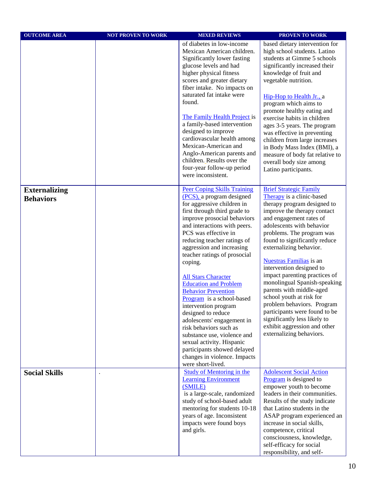| <b>OUTCOME AREA</b>                      | <b>NOT PROVEN TO WORK</b> | <b>MIXED REVIEWS</b>                                                                                                                                                                                                                                                                                                                                                                                                                                                                                                                                                                                                                                                                                       | PROVEN TO WORK                                                                                                                                                                                                                                                                                                                                                                                                                                                                                                                                                                                                              |
|------------------------------------------|---------------------------|------------------------------------------------------------------------------------------------------------------------------------------------------------------------------------------------------------------------------------------------------------------------------------------------------------------------------------------------------------------------------------------------------------------------------------------------------------------------------------------------------------------------------------------------------------------------------------------------------------------------------------------------------------------------------------------------------------|-----------------------------------------------------------------------------------------------------------------------------------------------------------------------------------------------------------------------------------------------------------------------------------------------------------------------------------------------------------------------------------------------------------------------------------------------------------------------------------------------------------------------------------------------------------------------------------------------------------------------------|
|                                          |                           | of diabetes in low-income<br>Mexican American children.<br>Significantly lower fasting<br>glucose levels and had<br>higher physical fitness<br>scores and greater dietary<br>fiber intake. No impacts on<br>saturated fat intake were<br>found.<br>The Family Health Project is<br>a family-based intervention<br>designed to improve<br>cardiovascular health among<br>Mexican-American and<br>Anglo-American parents and<br>children. Results over the<br>four-year follow-up period<br>were inconsistent.                                                                                                                                                                                               | based dietary intervention for<br>high school students. Latino<br>students at Gimme 5 schools<br>significantly increased their<br>knowledge of fruit and<br>vegetable nutrition.<br>Hip-Hop to Health Jr., a<br>program which aims to<br>promote healthy eating and<br>exercise habits in children<br>ages 3-5 years. The program<br>was effective in preventing<br>children from large increases<br>in Body Mass Index (BMI), a<br>measure of body fat relative to<br>overall body size among<br>Latino participants.                                                                                                      |
| <b>Externalizing</b><br><b>Behaviors</b> |                           | <b>Peer Coping Skills Training</b><br>(PCS), a program designed<br>for aggressive children in<br>first through third grade to<br>improve prosocial behaviors<br>and interactions with peers.<br>PCS was effective in<br>reducing teacher ratings of<br>aggression and increasing<br>teacher ratings of prosocial<br>coping.<br><b>All Stars Character</b><br><b>Education and Problem</b><br><b>Behavior Prevention</b><br>Program is a school-based<br>intervention program<br>designed to reduce<br>adolescents' engagement in<br>risk behaviors such as<br>substance use, violence and<br>sexual activity. Hispanic<br>participants showed delayed<br>changes in violence. Impacts<br>were short-lived. | <b>Brief Strategic Family</b><br>Therapy is a clinic-based<br>therapy program designed to<br>improve the therapy contact<br>and engagement rates of<br>adolescents with behavior<br>problems. The program was<br>found to significantly reduce<br>externalizing behavior.<br><b>Nuestras Familias</b> is an<br>intervention designed to<br>impact parenting practices of<br>monolingual Spanish-speaking<br>parents with middle-aged<br>school youth at risk for<br>problem behaviors. Program<br>participants were found to be<br>significantly less likely to<br>exhibit aggression and other<br>externalizing behaviors. |
| <b>Social Skills</b>                     |                           | <b>Study of Mentoring in the</b><br><b>Learning Environment</b><br>(SMILE)<br>is a large-scale, randomized<br>study of school-based adult<br>mentoring for students 10-18<br>years of age. Inconsistent<br>impacts were found boys<br>and girls.                                                                                                                                                                                                                                                                                                                                                                                                                                                           | <b>Adolescent Social Action</b><br>Program is designed to<br>empower youth to become<br>leaders in their communities.<br>Results of the study indicate<br>that Latino students in the<br>ASAP program experienced an<br>increase in social skills,<br>competence, critical<br>consciousness, knowledge,<br>self-efficacy for social<br>responsibility, and self-                                                                                                                                                                                                                                                            |